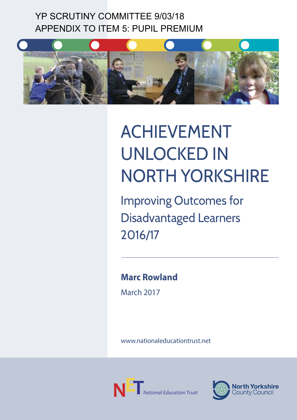## YP SCRUTINY COMMITTEE 9/03/18 APPENDIX TO ITEM 5: PUPIL PREMIUM



# ACHIEVEMENT UNLOCKED IN NOrTH YOrKsHIrE

Improving Outcomes for Disadvantaged Learners 2016/17

**Marc Rowland**

March 2017

www.nationaleducationtrust.net



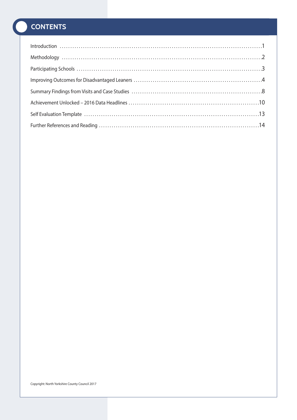## **CONTENTS**

| $\begin{minipage}{0.9\linewidth} \begin{minipage}{0.9\linewidth} \begin{minipage}{0.9\linewidth} \begin{minipage}{0.9\linewidth} \begin{minipage}{0.9\linewidth} \end{minipage} \end{minipage} \begin{minipage}{0.9\linewidth} \begin{minipage}{0.9\linewidth} \begin{minipage}{0.9\linewidth} \end{minipage} \end{minipage} \begin{minipage}{0.9\linewidth} \begin{minipage}{0.9\linewidth} \begin{minipage}{0.9\linewidth} \end{minipage} \end{minipage} \end{minipage} \begin{minipage}{0.9\linewidth} \begin{minipage}{0.9\linewidth} \begin$ |  |
|---------------------------------------------------------------------------------------------------------------------------------------------------------------------------------------------------------------------------------------------------------------------------------------------------------------------------------------------------------------------------------------------------------------------------------------------------------------------------------------------------------------------------------------------------|--|
|                                                                                                                                                                                                                                                                                                                                                                                                                                                                                                                                                   |  |
|                                                                                                                                                                                                                                                                                                                                                                                                                                                                                                                                                   |  |
|                                                                                                                                                                                                                                                                                                                                                                                                                                                                                                                                                   |  |
|                                                                                                                                                                                                                                                                                                                                                                                                                                                                                                                                                   |  |
|                                                                                                                                                                                                                                                                                                                                                                                                                                                                                                                                                   |  |
|                                                                                                                                                                                                                                                                                                                                                                                                                                                                                                                                                   |  |
|                                                                                                                                                                                                                                                                                                                                                                                                                                                                                                                                                   |  |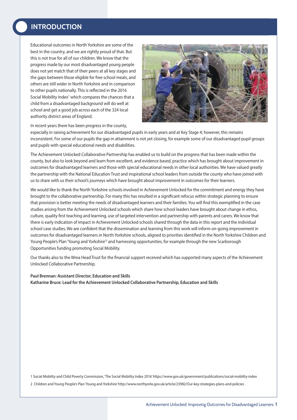## **IntRoDUCtIon**

Educational outcomes in North Yorkshire are some of the best in the country, and we are rightly proud of that. But this is not true for all of our children. We know that the progress made by our most disadvantaged young people does not yet match that of their peers at all key stages and the gaps between those eligible for free school meals, and others are still wider in North Yorkshire and in comparison to other pupils nationally. This is reflected in the 2016 Social Mobility Index<sup>1</sup> which compares the chances that a child from a disadvantaged background will do well at school and get a good job across each of the 324 local authority district areas of England.



In recent years there has been progress in the county,

especially in raising achievement for our disadvantaged pupils in early years and at Key Stage 4; however, this remains inconsistent. For some of our pupils the gap in attainment is not yet closing, for example some of our disadvantaged pupil groups and pupils with special educational needs and disabilities.

The Achievement Unlocked Collaborative Partnership has enabled us to build on the progress that has been made within the county, but also to look beyond and learn from excellent, and evidence based, practice which has brought about improvement in outcomes for disadvantaged learners and those with special educational needs in other local authorities. We have valued greatly the partnership with the National Education Trust and inspirational school leaders from outside the county who have joined with us to share with us their school's journeys which have brought about improvement in outcomes for their learners.

We would like to thank the North Yorkshire schools involved in Achievement Unlocked for the commitment and energy they have brought to the collaborative partnership. For many this has resulted in a significant refocus within strategic planning to ensure that provision is better meeting the needs of disadvantaged learners and their families. You will find this exemplified in the case studies arising from the Achievement Unlocked schools which share how school leaders have brought about change in ethos, culture, quality first teaching and learning, use of targeted intervention and partnership with parents and carers. We know that there is early indication of impact in Achievement Unlocked schools shared through the data in this report and the individual school case studies. We are confident that the dissemination and learning from this work will inform on-going improvement in outcomes for disadvantaged learners in North Yorkshire schools, aligned to priorities identified in the North Yorkshire Children and Young People's Plan 'Young and Yorkshire'<sup>2</sup> and harnessing opportunities, for example through the new Scarborough Opportunities funding promoting Social Mobility.

Our thanks also to the Wrea Head Trust for the financial support received which has supported many aspects of the Achievement Unlocked Collaborative Partnership.

#### **Paul Brennan: Assistant Director, Education and Skills**

**Katharine Bruce: Lead for the Achievement Unlocked Collaborative Partnership, Education and Skills**

1 Social Mobility and Child Poverty Commission, 'The Social Mobility Index 2016'https://www.gov.uk/government/publications/social-mobility-index

2 Children and Young People's Plan'Young and Yorkshire'http://www.northyorks.gov.uk/article/23982/Our-key-strategies-plans-and-policies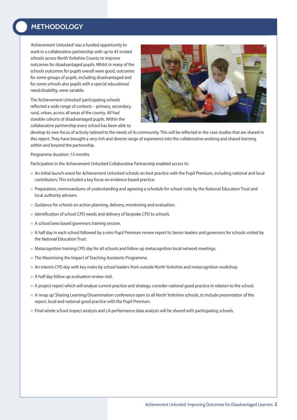## **MetHoDoLoGY**

'Achievement Unlocked'was a funded opportunity to work in a collaborative partnership with up to 45 invited schools across North Yorkshire County to improve outcomes for disadvantaged pupils. Whilst in many of the schools outcomes for pupils overall were good, outcomes for some groups of pupils, including disadvantaged and for some schools also pupils with a special educational need/disability, were variable.

The 'Achievement Unlocked'participating schools reflected a wide range of contexts – primary, secondary, rural, urban, across all areas of the county. All had sizeable cohorts of disadvantaged pupils. Within the collaborative partnership every school has been able to



develop its own focus of activity tailored to the needs of its community. This will be reflected in the case studies that are shared in this report. They have brought a very rich and diverse range of experience into the collaborative working and shared learning within and beyond the partnership.

Programme duration: 15 months

Participation in the Achievement Unlocked Collaborative Partnership enabled access to:

- l An initial launch event for Achievement Unlocked schools on best practice with the Pupil Premium, including national and local contributors. This included a key focus on evidence based practice.
- l Preparation, memorandums of understanding and agreeing a schedule for school visits by the National Education Trust and local authority advisers.
- **•** Guidance for schools on action planning, delivery, monitoring and evaluation.
- $\bullet$  Identification of school CPD needs and delivery of bespoke CPD to schools.
- l A school/area based governors training session.
- l A half day in each school followed by a mini Pupil Premium review report to Senior leaders and governors for schools visited by the National Education Trust.
- $\bullet$  Metacognition training CPD day for all schools and follow up metacognition local network meetings.
- **The Maximising the Impact of Teaching Assistants Programme.**
- l An interim CPD day with key notes by school leaders from outside North Yorkshire and metacognition workshop.
- $\bullet$  A half day follow up evaluation review visit.
- l A project report which will analyse current practice and strategy, consider national good practice in relation to the school.
- l A'wrap up' Sharing Learning/Dissemination conference open to all North Yorkshire schools, to include presentation of the report, local and national good practice with the Pupil Premium.
- **Final whole school impact analysis and LA performance data analysis will be shared with participating schools.**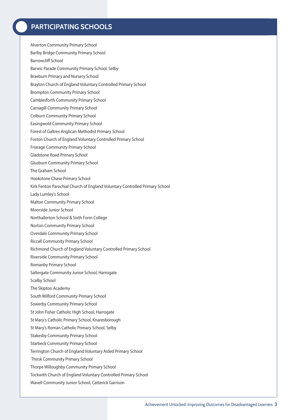## **PARtICIPAtInG sCHooLs**

- Alverton Community Primary School
- Barlby Bridge Community Primary School
- Barrowcliff School
- Barwic Parade Community Primary School, Selby
- Braeburn Primary and Nursery School
- Brayton Church of England Voluntary Controlled Primary School
- Brompton Community Primary School
- Camblesforth Community Primary School
- Carnagill Community Primary School
- Colburn Community Primary School
- Easingwold Community Primary School
- Forest of Galtres Anglican Methodist Primary School
- Foston Church of England Voluntary Controlled Primary School
- Friarage Community Primary School
- Gladstone Road Primary School
- Glusburn Community Primary School
- The Graham School
- Hookstone Chase Primary School
- Kirk Fenton Parochial Church of England Voluntary Controlled Primary School
- Lady Lumley's School
- Malton Community Primary School
- Moorside Junior School
- Northallerton School & Sixth Form College
- Norton Community Primary School
- Overdale Community Primary School
- Riccall Community Primary School
- Richmond Church of England Voluntary Controlled Primary School
- Riverside Community Primary School
- Romanby Primary School
- Saltergate Community Junior School, Harrogate
- Scalby School
- The Skipton Academy
- South Milford Community Primary School
- Sowerby Community Primary School
- St John Fisher Catholic High School, Harrogate
- St Mary's Catholic Primary School, Knaresborough
- St Mary's Roman Catholic Primary School, Selby
- Stakesby Community Primary School
- Starbeck Community Primary School
- Terrington Church of England Voluntary Aided Primary School
- Thirsk Community Primary School
- Thorpe Willoughby Community Primary School
- Tockwith Church of England Voluntary Controlled Primary School
- Wavell Community Junior School, Catterick Garrison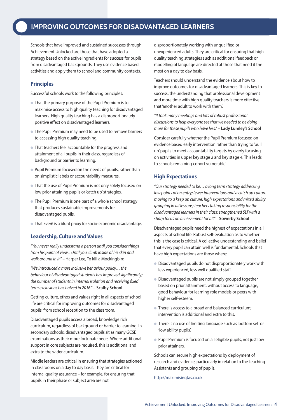## **IMPRoVInG oUtCoMes FoR DIsADVAntAGeD LeARneRs**

Schools that have improved and sustained successes through Achievement Unlocked are those that have adopted a strategy based on the active ingredients for success for pupils from disadvantaged backgrounds. They use evidence based activities and apply them to school and community contexts.

#### **Principles**

Successful schools work to the following principles:

- **That the primary purpose of the Pupil Premium is to** maximise access to high quality teaching for disadvantaged learners. High quality teaching has a disproportionately positive effect on disadvantaged learners.
- The Pupil Premium may need to be used to remove barriers to accessing high quality teaching.
- That teachers feel accountable for the progress and attainment of all pupils in their class, regardless of background or barrier to learning.
- Pupil Premium focused on the needs of pupils, rather than on simplistic labels or accountability measures.
- That the use of Pupil Premium is not only solely focused on low prior attaining pupils or'catch up'strategies.
- The Pupil Premium is one part of a whole school strategy that produces sustainable improvements for disadvantaged pupils.
- That Ever6 is a blunt proxy for socio-economic disadvantage.

#### **Leadership, Culture and Values**

"You never really understand a person until you consider things from his point of view... Until you climb inside of his skin and walk around in it." – Harper Lee, To kill a Mockingbird

"We introduced a more inclusive behaviour policy… the behaviour of disadvantaged students has improved significantly; the number of students in internal isolation and receiving fixed term exclusions has halved in 2016." – **Scalby School**

Getting culture, ethos and values right in all aspects of school life are critical for improving outcomes for disadvantaged pupils, from school reception to the classroom.

Disadvantaged pupils access a broad, knowledge rich curriculum, regardless of background or barrier to learning. In secondary schools, disadvantaged pupils sit as many GCSE examinations as their more fortunate peers. Where additional support in core subjects are required, this is additional and extra to the wider curriculum.

Middle leaders are critical in ensuring that strategies actioned in classrooms on a day to day basis. They are critical for internal quality assurance – for example, for ensuring that pupils in their phase or subject area are not

disproportionately working with unqualified or unexperienced adults. They are critical for ensuring that high quality teaching strategies such as additional feedback or modelling of language are directed at those that need it the most on a day to day basis.

Teachers should understand the evidence about how to improve outcomes for disadvantaged learners. This is key to success; the understanding that professional development and more time with high quality teachers is more effective that'another adult to work with them'.

"It took many meetings and lots of robust professional discussions to help everyone see that we needed to be doing more for these pupils who have less." – **Lady Lumley's School**

Consider carefully whether the Pupil Premium focused on evidence based early intervention rather than trying to'pull up'pupils to meet accountability targets by overly focusing on activities in upper key stage 2 and key stage 4. This leads to schools remaining'cohort vulnerable'.

#### **High Expectations**

"Ourstrategy needed to be… a long term strategy addressing low points of on entry; fewer interventions and a catch up culture moving to a keep up culture; high expectations and mixed ability grouping in all lessons; teachers taking responsibility for the disadvantaged learners in their class; strengthened SLT with a sharp focus on achievement for all." – **Sowerby School**

Disadvantaged pupils need the highest of expectations in all aspects of school life. Robust self-evaluation as to whether this is the case is critical. A collective understanding and belief that every pupil can attain well is fundamental. Schools that have high expectations are those where:

- l Disadvantaged pupils do not disproportionately work with less experienced, less well qualified staff.
- **Disadvantaged pupils are not simply grouped together** based on prior attainment, without access to language, good behaviour for learning role models or peers with higher self-esteem.
- There is access to a broad and balanced curriculum: intervention is additional and extra to this.
- l There is no use of limiting language such as'bottom set'or 'low ability pupils'.
- Pupil Premium is focused on all eligible pupils, not just low prior attainers.

Schools can secure high expectations by deployment of research and evidence, particularly in relation to the Teaching Assistants and grouping of pupils.

http://maximisingtas.co.uk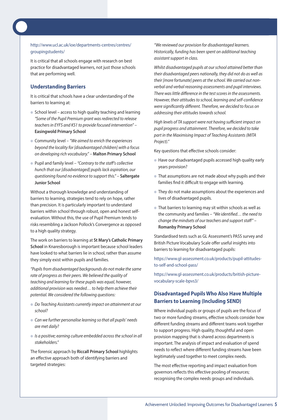#### http://www.ucl.ac.uk/ioe/departments-centres/centres/ groupingstudents/

It is critical that all schools engage with research on best practice for disadvantaged learners, not just those schools that are performing well.

#### **Understanding Barriers**

It is critical that schools have a clear understanding of the barriers to learning at:

- $\bullet$  School level access to high quality teaching and learning "Some of the Pupil Premium arant was redirected to release teachers in EYFS and KS1 to provide focused intervention" -**Easingwold Primary School**
- $\bullet$  Community level "We aimed to enrich the experiences beyond the locality for [disadvantaged children] with a focus on developing rich vocabulary." – **Malton Primary School**
- Pupil and family level "Contrary to the staff's collective hunch that our [disadvantaged] pupils lack aspiration, our questioning found no evidence to support this." – **Saltergate Junior School**

Without a thorough knowledge and understanding of barriers to learning, strategies tend to rely on hope, rather than precision. It is particularly important to understand barriers within school through robust, open and honest selfevaluation. Without this, the use of Pupil Premium tends to risks resembling a Jackson Pollock's Convergence as opposed to a high quality strategy.

The work on barriers to learning at **St Mary's Catholic Primary School** in Knaresborough is important because school leaders have looked to what barriers lie in school, rather than assume they simply exist within pupils and families.

"Pupils from disadvantaged backgrounds do not make the same rate of progress as their peers. We believed the quality of teaching and learning for these pupils was equal, however, additional provision was needed… to help them achieve their potential. We considered the following questions:

- Do Teaching Assistants currently impact on attainment at our school?
- Can we further personalise learning so that all pupils' needs are met daily?
- $\bullet$  Is a positive; earning culture embedded across the school in all stakeholders."

The forensic approach by **Riccall Primary School** highlights an effective approach both of identifying barriers and targeted strategies:

"We reviewed our provision for disadvantaged learners. Historically, funding has been spent on additional teaching assistant support in class.

Whilst disadvantaged pupils at our school attained better than their disadvantaged peers nationally, they did not do as well as their [more fortunate] peers at the school. We carried out nonverbal and verbal reasoning assessments and pupil interviews. There was little difference in the test scores in the assessments. However, their attitudes to school, learning and self-confidence were significantly different. Therefore, we decided to focus on addressing their attitudes towards school.

High levels of TA support were not having sufficient impact on pupil progress and attainment. Therefore, we decided to take part in the Maximising Impact of Teaching Assistants(MITA Project)."

Key questions that effective schools consider:

- l Have our disadvantaged pupils accessed high quality early years provision?
- That assumptions are not made about why pupils and their families find it difficult to engage with learning.
- They do not make assumptions about the experiences and lives of disadvantaged pupils.
- $\bullet$  That barriers to learning may sit within schools as well as the community and families – "We identified… the need to change the mindsets of our teachers and support staff" – **Romanby Primary School**

Standardised tests such as GL Assessment's PASS survey and British Picture Vocabulary Scale offer useful insights into barriers to learning for disadvantaged pupils:

https://www.gl-assessment.co.uk/products/pupil-attitudesto-self-and-school-pass/

https://www.gl-assessment.co.uk/products/british-picturevocabulary-scale-bpvs3/

#### **Disadvantaged Pupils Who Also Have Multiple Barriers to Learning (Including SEND)**

Where individual pupils or groups of pupils are the focus of two or more funding streams, effective schools consider how different funding streams and different teams work together to support progress. High quality, thoughtful and open provision mapping that is shared across departments is important. The analysis of impact and evaluation of spend needs to reflect where different funding streams have been legitimately used together to meet complex needs.

The most effective reporting and impact evaluation from governors reflects this effective pooling of resources; recognising the complex needs groups and individuals.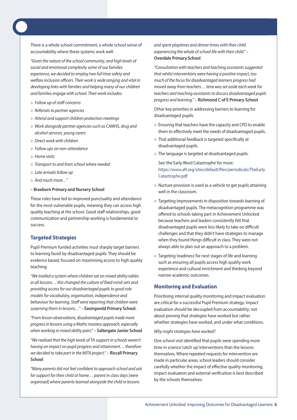There is a whole school commitment, a whole school sense of accountability where these systems work well.

"Given the nature of the school community, and high levels of social and emotional complexity some of our families experience, we decided to employ two full time safety and welfare inclusion officers. Their work is wide ranging and vital in developing links with families and helping many of our children and families engage with school. Their work includes:

- $\bullet$  Follow up of staff concerns
- $\bullet$  Referrals to partner agencies
- $\bullet$  Attend and support children protection meetings
- $\bullet$  Work alongside partner agencies such as CAMHS, drug and alcohol services, young carers
- **Direct work with children**
- **Follow ups on non-attendance**
- $\bullet$  Home visits
- **Transport to and from school where needed**
- $\bullet$  Late arrivals follow up
- And much more…"
- **– Braeburn Primary and Nursery School**

These roles have led to improved punctuality and attendance for the most vulnerable pupils, meaning they can access high quality teaching at the school. Good staff relationships, good communication and partnership working is fundamental to success.

#### **Targeted Strategies**

Pupil Premium funded activities must sharply target barriers to learning faced by disadvantaged pupils. They should be evidence based, focused on maximising access to high quality teaching:

"We trialled a system where children sat on mixed ability tables in all lessons… this changed the culture of fixed mind-sets and providing access for our disadvantaged pupils to good role models for vocabulary, organisation, independence and behaviour for learning. Staff were reporting that children were surprising them in lessons…" – **Easingwold Primary School.**

"From lesson observations, disadvantaged pupils made more progressin lessons using a Maths mastery approach, especially when working in mixed ability pairs." – **Saltergate Junior School**

"We realised that the high levels of TA support in schools weren't having an impact on pupil progress and attainment… therefore we decided to take part in the MITA project." – **Riccall Primary School**

"Many parents did not feel confident to approach school and ask for support for their child at home... parent in class days [were organised] where parents learned alongside the child in lessons

and spent playtimes and dinner times with their child experiencing the whole of school life with their child." -**Overdale Primary School**

"Consultation with teachers and teaching assistants suggested that whilst interventions were having a positive impact, too much of the focus for disadvantaged learners progress had moved away from teachers… time wasset aside each week for teachers and teaching assistants to discuss disadvantaged pupils progress and learning." – **Richmond C of E Primary School**

Other key priorities in addressing barriers to learning for disadvantaged pupils:

- l Ensuring that teachers have the capacity and CPD to enable them to effectively meet the needs of disadvantaged pupils.
- **That additional feedback is targeted specifically at** disadvantaged pupils.
- **The language is targeted at disadvantaged pupils.**

See 'the Early Word Catastrophe'for more: https://www.aft.org/sites/default/files/periodicals/TheEarly Catastrophe.pdf

- Nurture provision is used as a vehicle to get pupils attaining well in the classroom.
- Targeting improvements in disposition towards learning of disadvantaged pupils. The metacognition programme was offered to schools taking part in Achievement Unlocked because teachers and leaders consistently felt that disadvantaged pupils were less likely to take on difficult challenges and that they didn't have strategies to manage when they found things difficult in class. They were not always able to plan out an approach to a problem.
- Targeting 'readiness' for next stages of life and learning such as ensuring all pupils access high quality work experience and cultural enrichment and thinking beyond narrow academic outcomes.

#### **Monitoring and Evaluation**

Prioritising internal quality monitoring and impact evaluation are critical for a successful Pupil Premium strategy. Impact evaluation should be decoupled from accountability; not about proving that strategies have worked but rather whether strategies have worked, and under what conditions.

#### Why might strategies have worked?

One school visit identified that pupils were spending more time in science 'catch up' interventions than the lessons themselves. Where repeated requests for intervention are made in particular areas, school leaders should consider carefully whether the impact of effective quality monitoring, impact evaluation and external verification is best described by the schools themselves: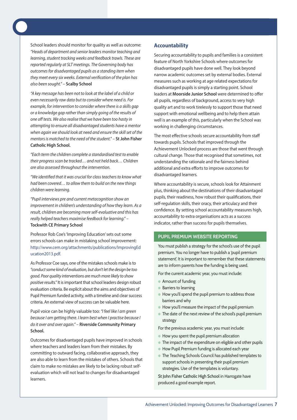School leaders should monitor for quality as well as outcome: "Heads of department and senior leaders monitor teaching and learning, student tracking weeks and feedback trawls. These are reported regularly at SLT meetings. The Governing body has outcomes for disadvantaged pupils as a standing item when they meet every six weeks. External verification of the plan has also been sought." – **Scalby School**

"A key message has been not to look at the label of a child or even necessarily raw data but to consider where need is. For example, for intervention to consider where there is a skills gap or a knowledge gap rather than simply going of the results of one off tests. We also realise that we have been too hasty in attempting to ensure all disadvantaged students have a mentor when again we should look at need and ensure the skill set of the mentorsis matched to the need of the student." – **St John Fisher Catholic High School.**

"Each term the children complete a standardised test to enable their progress scan be tracked... and not held back... Children are also assessed throughout the intervention.

"We identified that it was crucial for class teachers to know what had been covered… to allow them to build on the new things children were learning.

"Pupil interviews pre and current metacognition show an improvement in children's understanding of how they learn. As a result, children are becoming more self-evaluative and this has really helped teachers maximise feedback for learning." – **Tockwith CE Primary School**

Professor Rob Coe's'Improving Education'sets out some errors schools can make in mistaking school improvement: http://www.cem.org/attachments/publications/ImprovingEd ucation2013.pdf.

As Professor Coe says, one of the mistakes schools make is to "conduct some kind of evaluation, but don't let the design be too good. Poor quality interventions are much more likely to show positive results." It is important that school leaders design robust evaluation criteria. Be explicit about the aims and objectives of Pupil Premium funded activity, with a timeline and clear success criteria. An external view of success can be valuable here.

Pupil voice can be highly valuable too: "I feel like I am green because I am getting there. I learn best when I practise because I do it over and over again." – **Riverside Community Primary School.**

Outcomes for disadvantaged pupils have improved in schools where teachers and leaders learn from their mistakes. By committing to outward facing, collaborative approach, they are also able to learn from the mistakes of others. Schools that claim to make no mistakes are likely to be lacking robust selfevaluation which will not lead to changes for disadvantaged learners.

#### **Accountability**

Securing accountability to pupils and families is a consistent feature of North Yorkshire Schools where outcomes for disadvantaged pupils have done well. They look beyond narrow academic outcomes set by external bodies. External measures such as working at age related expectations for disadvantaged pupils is simply a starting point. School leaders at **Moorside Junior School** were determined to offer all pupils, regardless of background, access to very high quality art and to work tirelessly to support those that need support with emotional wellbeing and to help them attain well is an example of this, particularly when the School was working in challenging circumstances.

The most effective schools secure accountability from staff towards pupils. Schools that improved through the Achievement Unlocked process are those that went through cultural change. Those that recognised that sometimes, not understanding the rationale and the fairness behind additional and extra efforts to improve outcomes for disadvantaged learners.

Where accountability is secure, schools look for Attainment plus, thinking about the destinations of their disadvantaged pupils, their readiness, how robust their qualifications, their self-regulation skills, their oracy, their articulacy and their confidence. By setting school accountability measures high, accountability to extra organisations acts as a success indicator, rather than success for pupils themselves.

#### **PUPIL PReMIUM websIte RePoRtInG**

You must publish a strategy for the school's use of the pupil premium. You no longer have to publish a 'pupil premium statement'. It is important to remember that these statements are to inform parents how the funding is being used.

For the current academic year, you must include:

- **Amount of funding**
- Barriers to learning
- $\bullet$  How you'll spend the pupil premium to address those barriers and why
- l How you'll measure the impact of the pupil premium
- $\bullet$  The date of the next review of the school's pupil premium strategy

For the previous academic year, you must include:

- $\bullet$  How you spent the pupil premium allocation
- The impact of the expenditure on eligible and other pupils
- **How Pupil Premium funding is allocated each year**
- The Teaching Schools Council has published templates to support schools in presenting their pupil premium strategies. Use of the templates is voluntary.

St John Fisher Catholic High School in Harrogate have produced a good example report.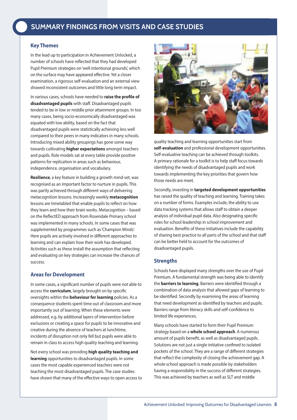### **HeADInG sUMMARY FInDInGs FRoM VIsIts AnD CAse stUDIes**

#### **Key Themes**

In the lead up to participation in Achievement Unlocked, a number of schools have reflected that they had developed Pupil Premium strategies on'well intentional grounds', which on the surface may have appeared effective. Yet a closer examination, a rigorous self-evaluation and an external view showed inconsistent outcomes and little long term impact.

In various cases, schools have needed to **raise the profile of disadvantaged pupils** with staff. Disadvantaged pupils tended to be in low or middle prior attainment groups. In too many cases, being socio-economically disadvantaged was equated with low ability, based on the fact that disadvantaged pupils were statistically achieving less well compared to their peers in many indicators in many schools. Introducing mixed ability groupings has gone some way towards cultivating **higher expectations** amongst teachers and pupils. Role models sat at every table provide positive patterns for replication in areas such as behaviour, independence, organisation and vocabulary.

**Resilience**, a key feature in building a growth mind-set, was recognised as an important factor to nurture in pupils. This was partly achieved through different ways of delivering metacognition lessons. Increasingly weekly **metacognition** lessons are timetabled that enable pupils to reflect on how they learn and how their brain works. Metacognition – based on the ReflectED approach from Rosendale Primary school was implemented in many schools. In some cases that was supplemented by programmes such as'Champion Minds'. Here pupils are actively involved in different approaches to learning and can explain how their work has developed. Activities such as these install the assumption that reflecting and evaluating on key strategies can increase the chances of success.

#### **Areas for Development**

In some cases, a significant number of pupils were not able to access the **curriculum**, largely brought on by specific oversights within the **behaviour for learning** policies. As a consequence students spent time out of classroom and more importantly out of learning. When these elements were addressed, e.g. by additional layers of intervention before exclusions or creating a space for pupils to be innovative and creative during the absence of teachers at lunchtime, incidents of disruption not only fell but pupils were able to remain in class to access high quality teaching and learning.

Not every school was providing **high quality teaching and learning** opportunities to disadvantaged pupils. In some cases the most capable experienced teachers were not teaching the most disadvantaged pupils. The case studies have shown that many of the effective ways to open access to



quality teaching and learning opportunities start from **self-evaluation** and professional development opportunities. Self-evaluative teaching can be achieved through toolkits. A primary rationale for a toolkit is to help staff focus towards identifying the needs of disadvantaged pupils and work towards implementing the key priorities that govern how those needs are meet.

Secondly, investing in **targeted development opportunities** has raised the quality of teaching and learning. Training takes on a number of forms. Examples include, the ability to use data tracking systems that allows staff to obtain a deeper analysis of individual pupil data. Also designating specific roles for school leadership in school improvement and evaluation. Benefits of these initiatives include the capability of sharing best practice to all parts of the school and that staff can be better held to account for the outcomes of disadvantaged pupils.

#### **Strengths**

Schools have displayed many strengths over the use of Pupil Premium. A fundamental strength was being able to identify the **barriers to learning**. Barriers were identified through a combination of data analysis that allowed gaps of learning to be identified. Secondly by examining the areas of learning that need development as identified by teachers and pupils. Barriers range from literacy skills and self-confidence to limited life experiences.

Many schools have started to form their Pupil Premium strategy based on a **whole school approach**. A numerous amount of pupils benefit, as well as disadvantaged pupils. Solutions are not just a single initiative confined to isolated pockets of the school. They are a range of different strategies that reflect the complexity of closing the achievement gap. A whole school approach is made possible by stakeholders having a responsibility in the success of different strategies. This was achieved by teachers as well as SLT and middle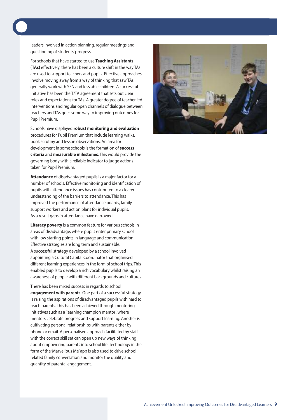leaders involved in action planning, regular meetings and questioning of students'progress.

For schools that have started to use **Teaching Assistants (TAs)** effectively, there has been a culture shift in the way TAs are used to support teachers and pupils. Effective approaches involve moving away from a way of thinking that saw TAs generally work with SEN and less able children. A successful initiative has been the T/TA agreement that sets out clear roles and expectations for TAs. A greater degree of teacher led interventions and regular open channels of dialogue between teachers and TAs goes some way to improving outcomes for Pupil Premium.

Schools have displayed **robust monitoring and evaluation** procedures for Pupil Premium that include learning walks, book scrutiny and lesson observations. An area for development in some schools is the formation of **success criteria** and **measurable milestones**. This would provide the governing body with a reliable indicator to judge actions taken for Pupil Premium.

**Attendance** of disadvantaged pupils is a major factor for a number of schools. Effective monitoring and identification of pupils with attendance issues has contributed to a clearer understanding of the barriers to attendance. This has improved the performance of attendance boards, family support workers and action plans for individual pupils. As a result gaps in attendance have narrowed.

**Literacy poverty** is a common feature for various schools in areas of disadvantage, where pupils enter primary school with low starting points in language and communication. Effective strategies are long term and sustainable. A successful strategy developed by a school involved appointing a Cultural Capital Coordinator that organised different learning experiences in the form of school trips. This enabled pupils to develop a rich vocabulary whilst raising an awareness of people with different backgrounds and cultures.

There has been mixed success in regards to school **engagement with parents**. One part of a successful strategy is raising the aspirations of disadvantaged pupils with hard to reach parents. This has been achieved through mentoring initiatives such as a 'learning champion mentor', where mentors celebrate progress and support learning. Another is cultivating personal relationships with parents either by phone or email. A personalised approach facilitated by staff with the correct skill set can open up new ways of thinking about empowering parents into school life. Technology in the form of the 'Marvellous Me' app is also used to drive school related family conversation and monitor the quality and quantity of parental engagement.

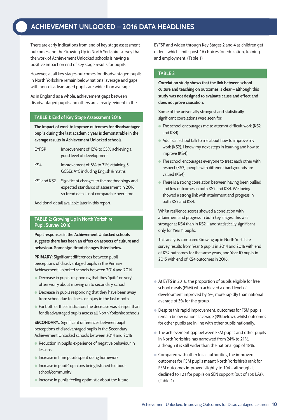## **HeADInG ACHIeVeMent UnLoCKeD – 2016 DAtA HeADLInes**

There are early indications from end of key stage assessment outcomes and the Growing Up in North Yorkshire survey that the work of Achievement Unlocked schools is having a positive impact on end of key stage results for pupils.

However, at all key stages outcomes for disadvantaged pupils in North Yorkshire remain below national average and gaps with non-disadvantaged pupils are wider than average.

As in England as a whole, achievement gaps between disadvantaged pupils and others are already evident in the

#### **tAbLe 1: end of Key stage Assessment 2016**

**the impact of work to improve outcomes for disadvantaged pupils during the last academic year is demonstrable in the average results in Achievement Unlocked schools.**

- EYFSP Improvement of 12% to 55% achieving a good level of development
- Ks4 Improvement of 8% to 31% attaining 5 GCsEs A\*C including English & maths
- KS1 and KS2 Significant changes to the methodology and expected standards of assessment in 2016, so trend data is not comparable over time

Additional detail available later in this report.

#### **tAbLe 2: Growing Up in north Yorkshire Pupil survey 2016**

**Pupil responses in the Achievement Unlocked schools suggests there has been an effect on aspects of culture and behaviour. some significant changes listed below.**

**PRIMARY:** Significant differences between pupil perceptions of disadvantaged pupils in the Primary Achievement Unlocked schools between 2014 and 2016

- **•** Decrease in pupils responding that they 'quite' or 'very' often worry about moving on to secondary school
- $\bullet$  Decrease in pupils responding that they have been away from school due to illness or injury in the last month
- **For both of these indicators the decrease was sharper than** for disadvantaged pupils across all North Yorkshire schools

**SECONDARY::** Significant differences between pupil perceptions of disadvantaged pupils in the Secondary Achievement Unlocked schools between 2014 and 2016

- $\bullet$  Reduction in pupils' experience of negative behaviour in lessons
- $\bullet$  Increase in time pupils spent doing homework
- $\bullet$  Increase in pupils' opinions being listened to about school/community
- $\bullet$  Increase in pupils feeling optimistic about the future

EYFSP and widen through Key Stages 2 and 4 as children get older – which limits post-16 choices for education, training and employment. (Table 1)

#### **tAbLe 3**

**Correlation study shows that the link between school culture and teaching on outcomes is clear – although this study was not designed to evaluate cause and effect and does not prove causation.**

some of the universally strongest and statistically significant correlations were seen for:

- The school encourages me to attempt difficult work (KS2 and Ks4)
- Adults at school talk to me about how to improve my work (Ks2), I know my next steps in learning and how to improve (Ks4)
- **•** The school encourages everyone to treat each other with respect (Ks2), people with different backgrounds are valued (Ks4)
- **•** There is a strong correlation between having been bullied and low outcomes in both Ks2 and Ks4. Wellbeing showed a strong link with attainment and progress in both Ks2 and Ks4.

Whilst resilience scores showed a correlation with attainment and progress in both key stages, this was stronger at KS4 than in KS2 - and statistically significant only for Year 11 pupils.

This analysis compared Growing up in North Yorkshire survey results from Year 6 pupils in 2014 and 2016 with end of Ks2 outcomes for the same years, and Year 10 pupils in 2015 with end of Ks4 outcomes in 2016.

- l At EYFS in 2016, the proportion of pupils eligible for free school meals (FSM) who achieved a good level of development improved by 6%, more rapidly than national average of 3% for the group.
- Despite this rapid improvement, outcomes for FSM pupils remain below national average (3% below), whilst outcomes for other pupils are in line with other pupils nationally.
- The achievement gap between FSM pupils and other pupils in North Yorkshire has narrowed from 24% to 21%, although it is still wider than the national gap of 18%.
- **Compared with other local authorities, the improved** outcomes for FSM pupils meant North Yorkshire's rank for FSM outcomes improved slightly to 104 – although it declined to 121 for pupils on SEN support (out of 150 LAs). (Table 4)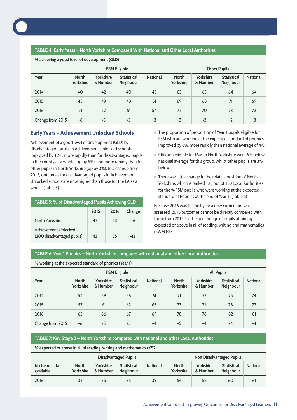

#### **tAbLe 4: early Years – north Yorkshire Compared with national and other Local Authorities**

**% achieving a good level of development (GLD)**

|                  | <b>FSM Eligible</b>              |                       |                                 |                 | <b>Other Pupils</b>       |                       |                                 |                 |
|------------------|----------------------------------|-----------------------|---------------------------------|-----------------|---------------------------|-----------------------|---------------------------------|-----------------|
| Year             | <b>North</b><br><b>Yorkshire</b> | Yorkshire<br>& Humber | <b>Statistical</b><br>Neighbour | <b>National</b> | <b>North</b><br>Yorkshire | Yorkshire<br>& Humber | <b>Statistical</b><br>Neighbour | <b>National</b> |
| 2014             | 40                               | 42                    | 40                              | 45              | 63                        | 63                    | 64                              | 64              |
| 2015             | 45                               | 49                    | 48                              | 51              | 69                        | 68                    | 71                              | 69              |
| 2016             | 51                               | 52                    | 51                              | 54              | 72                        | 70                    | 73                              | 72              |
| Change from 2015 | $+6$                             | $+3$                  | $+3$                            | $+3$            | $+3$                      | $+2$                  | $+2$                            | $+3$            |

#### **Early Years – Achievement Unlocked Schools**

Achievement of a good level of development (GLD) by disadvantaged pupils in Achievement Unlocked schools improved by 12%, more rapidly than for disadvantaged pupils in the county as a whole (up by 6%), and more rapidly than for other pupils in North Yorkshire (up by 3%). In a change from 2015, outcomes for disadvantaged pupils in Achievement Unlocked schools are now higher than those for the LA as a whole. (Table 5)

| TABLE 5: % of Disadvantaged Pupils Achieving GLD |  |
|--------------------------------------------------|--|
|                                                  |  |

|                                                    | 2015 | 2016 | Change |
|----------------------------------------------------|------|------|--------|
| North Yorkshire                                    | 47   | 53   | +6     |
| Achievement Unlocked<br>(200 disadvantaged pupils) | 43   | 55   | $+17$  |

- The proportion of proportion of Year 1 pupils eligible for FSM who are working at the expected standard of phonics improved by 6%, more rapidly than national average of 4%.
- **Children eligible for FSM in North Yorkshire were 6% below** national average for this group, whilst other pupils are 3% below.
- There was little change in the relative position of North Yorkshire, which is ranked 125 out of 150 Local Authorities for the % FSM pupils who were working at the expected standard of Phonics at the end of Year 1. (Table 6)

Because 2016 was the first year a new curriculum was assessed, 2016 outcomes cannot be directly compared with those from 2015 for the percentage of pupils attaining expected or above in all of reading, writing and mathematics (RWM EXS+).

#### **tAbLe 6: Year 1 Phonics – north Yorkshire compared with national and other Local Authorities**

|                  | <b>FSM Eligible</b>       |                       |                                 |                 |                           |                       | <b>All Pupils</b>               |                 |
|------------------|---------------------------|-----------------------|---------------------------------|-----------------|---------------------------|-----------------------|---------------------------------|-----------------|
| Year             | <b>North</b><br>Yorkshire | Yorkshire<br>& Humber | <b>Statistical</b><br>Neighbour | <b>National</b> | <b>North</b><br>Yorkshire | Yorkshire<br>& Humber | <b>Statistical</b><br>Neighbour | <b>National</b> |
| 2014             | 54                        | 59                    | 56                              | 61              | 71                        | 72                    | 75                              | 74              |
| 2015             | 57                        | 61                    | 62                              | 65              | 73                        | 74                    | 78                              | 77              |
| 2016             | 63                        | 66                    | 67                              | 69              | 78                        | 78                    | 82                              | 81              |
| Change from 2015 | $+6$                      | $+5$                  | $+5$                            | $+4$            | $+5$                      | $+4$                  | $+4$                            | $+4$            |

**% working at the expected standard of phonics (Year 1)**

#### **tAbLe 7: Key stage 2 – north Yorkshire compared with national and other Local Authorities**

**% expected or above in all of reading, writing and mathematics (Ks2)**

|                            | Disadvantaged Pupils      |                       |                                        |                 |                           |                       | <b>Non Disadvantaged Pupils</b>        |                 |
|----------------------------|---------------------------|-----------------------|----------------------------------------|-----------------|---------------------------|-----------------------|----------------------------------------|-----------------|
| No trend data<br>available | <b>North</b><br>Yorkshire | Yorkshire<br>& Humber | <b>Statistical</b><br><b>Neighbour</b> | <b>National</b> | <b>North</b><br>Yorkshire | Yorkshire<br>& Humber | <b>Statistical</b><br><b>Neighbour</b> | <b>National</b> |
| 2016                       | 32                        | 35                    | 35                                     | 39              | 56                        | 58                    | 60                                     | 61              |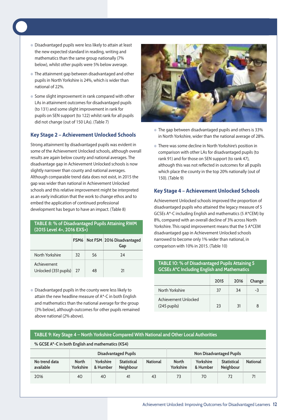- **Disadvantaged pupils were less likely to attain at least** the new expected standard in reading, writing and mathematics than the same group nationally (7% below), whilst other pupils were 5% below average.
- **The attainment gap between disadvantaged and other** pupils in North Yorkshire is 24%, which is wider than national of 22%.
- Some slight improvement in rank compared with other LAs in attainment outcomes for disadvantaged pupils (to 131) and some slight improvement in rank for pupils on SEN support (to 122) whilst rank for all pupils did not change (out of 150 LAs). (Table 7)

#### **Key Stage 2 – Achievement Unlocked Schools**

Strong attainment by disadvantaged pupils was evident in some of the Achievement Unlocked schools, although overall results are again below county and national averages. The disadvantage gap in Achievement Unlocked schools is now slightly narrower than county and national averages. Although comparable trend data does not exist, in 2015 the gap was wider than national in Achievement Unlocked schools and this relative improvement might be interpreted as an early indication that the work to change ethos and to embed the application of continued professional development has begun to have an impact. (Table 8)

#### **tAbLe 8: % of Disadvantaged Pupils Attaining RwM (2015 Level 4+, 2016 eXs+)**

|                                      |    |    | FSM6   Not FSM   2016 Disadvantaged<br>Gap |
|--------------------------------------|----|----|--------------------------------------------|
| North Yorkshire                      | 32 | 56 | 74                                         |
| Achievement<br>Unlocked (351 pupils) | 27 | 48 | 71                                         |

• Disadvantaged pupils in the county were less likely to attain the new headline measure of A\*-C in both English and mathematics than the national average for the group (3% below), although outcomes for other pupils remained above national (2% above).

**% GCse A\*-C in both english and mathematics (Ks4)**



- $\bullet$  The gap between disadvantaged pupils and others is 33% in North Yorkshire, wider than the national average of 28%.
- There was some decline in North Yorkshire's position in comparison with other LAs for disadvantaged pupils (to rank 91) and for those on SEN support (to rank 47), although this was not reflected in outcomes for all pupils which place the county in the top 20% nationally (out of 150). (Table 9)

#### **Key Stage 4 – Achievement Unlocked Schools**

Achievement Unlocked schools improved the proportion of disadvantaged pupils who attained the legacy measure of 5 GCSEs A\*-C including English and mathematics (5 A\*CEM) by 8%, compared with an overall decline of 3% across North Yorkshire. This rapid improvement means that the 5 A\*CEM disadvantaged gap in Achievement Unlocked schools narrowed to become only 1% wider than national, in comparison with 10% in 2015. (Table 10)

| TABLE 10: % of Disadvantaged Pupils Attaining 5<br><b>GCSEs A*C Including English and Mathematics</b> |    |    |    |  |  |  |  |  |
|-------------------------------------------------------------------------------------------------------|----|----|----|--|--|--|--|--|
| Change<br>2015<br>2016                                                                                |    |    |    |  |  |  |  |  |
| North Yorkshire                                                                                       | 37 | 34 | -3 |  |  |  |  |  |
| Achievement Unlocked<br>$(245$ pupils)                                                                | วว | 31 |    |  |  |  |  |  |

#### **tAbLe 9: Key stage 4 – north Yorkshire Compared with national and other Local Authorities**

| % GCSE A "-C in both English and mathematics (KS4) |                             |                       |                                 |                 |                           |                       |                                        |                 |  |
|----------------------------------------------------|-----------------------------|-----------------------|---------------------------------|-----------------|---------------------------|-----------------------|----------------------------------------|-----------------|--|
|                                                    | <b>Disadvantaged Pupils</b> |                       |                                 |                 |                           |                       | <b>Non Disadvantaged Pupils</b>        |                 |  |
| No trend data<br>available                         | <b>North</b><br>Yorkshire   | Yorkshire<br>& Humber | <b>Statistical</b><br>Neighbour | <b>National</b> | <b>North</b><br>Yorkshire | Yorkshire<br>& Humber | <b>Statistical</b><br><b>Neighbour</b> | <b>National</b> |  |
| 2016                                               | 40                          | 40                    | 41                              | 43              | 73                        | 70                    | 72                                     |                 |  |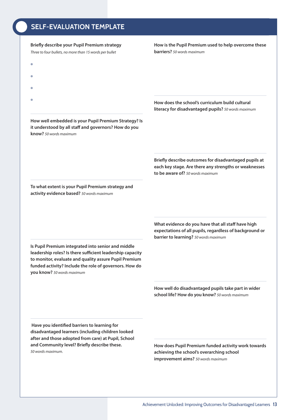## **SELF-EVALUATION TEMPLATE**

#### **Briefly describe your Pupil Premium strategy**

Three to four bullets, no more than 15 words per bullet

#### **How is the Pupil Premium used to help overcome these barriers?** 50 words maximum

- $\bullet$
- l
- $\bullet$
- 
- $\bullet$

**How well embedded is your Pupil Premium Strategy? Is it understood by all staff and governors? How do you know?** 50 words maximum

**How does the school's curriculum build cultural literacy for disadvantaged pupils?** 50 words maximum

**Briefly describe outcomes for disadvantaged pupils at each key stage. Are there any strengths or weaknesses to be aware of?** 50 words maximum

**To what extent is your Pupil Premium strategy and activity evidence based?** 50 words maximum

**Is Pupil Premium integrated into senior and middle leadership roles? Is there sufficient leadership capacity to monitor, evaluate and quality assure Pupil Premium**

**What evidence do you have that all staff have high expectations of all pupils, regardless of background or barrier to learning?** 50 words maximum

**How well do disadvantaged pupils take part in wider school life? How do you know?** 50 words maximum

**Have you identified barriers to learning for disadvantaged learners (including children looked after and those adopted from care) at Pupil, School and Community level? Briefly describe these.** 50 words maximum.

**funded activity? Include the role of governors. How do**

**you know?** 50 words maximum

**How does Pupil Premium funded activity work towards achieving the school's overarching school improvement aims?** 50 words maximum